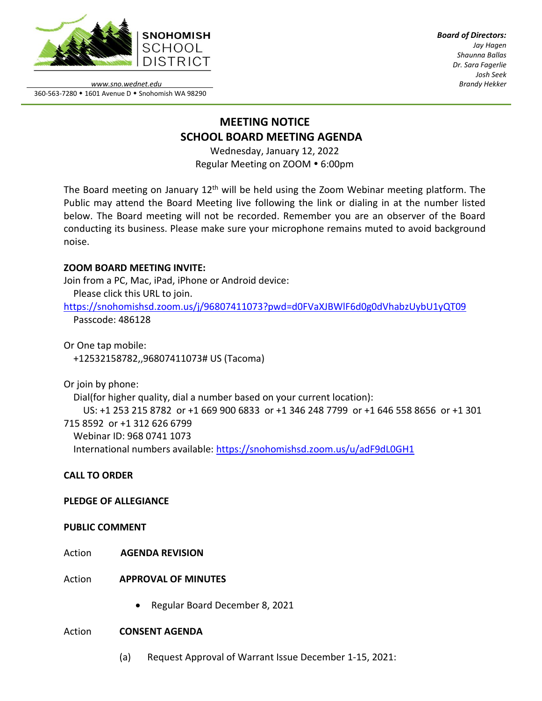

*Board of Directors: Jay Hagen Shaunna Ballas Dr. Sara Fagerlie Josh Seek Brandy Hekker*

*www.sno.wednet.edu* 360-563-7280 • 1601 Avenue D • Snohomish WA 98290

# **MEETING NOTICE SCHOOL BOARD MEETING AGENDA**

Wednesday, January 12, 2022 Regular Meeting on ZOOM . 6:00pm

The Board meeting on January  $12<sup>th</sup>$  will be held using the Zoom Webinar meeting platform. The Public may attend the Board Meeting live following the link or dialing in at the number listed below. The Board meeting will not be recorded. Remember you are an observer of the Board conducting its business. Please make sure your microphone remains muted to avoid background noise.

## **ZOOM BOARD MEETING INVITE:**

Join from a PC, Mac, iPad, iPhone or Android device:

Please click this URL to join.

<https://snohomishsd.zoom.us/j/96807411073?pwd=d0FVaXJBWlF6d0g0dVhabzUybU1yQT09> Passcode: 486128

Or One tap mobile: +12532158782,,96807411073# US (Tacoma)

Or join by phone:

Dial(for higher quality, dial a number based on your current location):

 US: +1 253 215 8782 or +1 669 900 6833 or +1 346 248 7799 or +1 646 558 8656 or +1 301 715 8592 or +1 312 626 6799 Webinar ID: 968 0741 1073 International numbers available:<https://snohomishsd.zoom.us/u/adF9dL0GH1>

# **CALL TO ORDER**

## **PLEDGE OF ALLEGIANCE**

## **PUBLIC COMMENT**

- Action **AGENDA REVISION**
- Action **APPROVAL OF MINUTES**
	- Regular Board December 8, 2021

#### Action **CONSENT AGENDA**

(a) Request Approval of Warrant Issue December 1-15, 2021: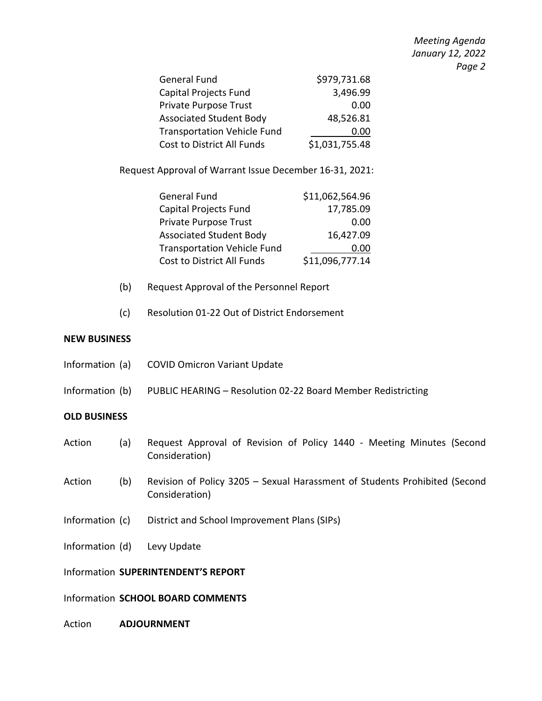*Meeting Agenda January 12, 2022 Page 2*

| General Fund                       | \$979,731.68   |
|------------------------------------|----------------|
| Capital Projects Fund              | 3,496.99       |
| Private Purpose Trust              | 0.00           |
| <b>Associated Student Body</b>     | 48,526.81      |
| <b>Transportation Vehicle Fund</b> | 0.00           |
| Cost to District All Funds         | \$1,031,755.48 |

Request Approval of Warrant Issue December 16-31, 2021:

| \$11,062,564.96 |
|-----------------|
| 17,785.09       |
| 0.00            |
| 16,427.09       |
| 0.00            |
| \$11,096,777.14 |
|                 |

- (b) Request Approval of the Personnel Report
- (c) Resolution 01-22 Out of District Endorsement

#### **NEW BUSINESS**

| (2)<br><u>Action</u> | Request Approval of Povision of Policy 1440 - Meeting Minute                 |  |
|----------------------|------------------------------------------------------------------------------|--|
| <b>OLD BUSINESS</b>  |                                                                              |  |
|                      | Information (b) PUBLIC HEARING - Resolution 02-22 Board Member Redistricting |  |
|                      | Information (a) COVID Omicron Variant Update                                 |  |

- Action (a) Request Approval of Revision of Policy 1440 Meeting Minutes (Second Consideration)
- Action (b) Revision of Policy 3205 Sexual Harassment of Students Prohibited (Second Consideration)
- Information (c) District and School Improvement Plans (SIPs)
- Information (d) Levy Update

#### Information **SUPERINTENDENT'S REPORT**

#### Information **SCHOOL BOARD COMMENTS**

Action **ADJOURNMENT**